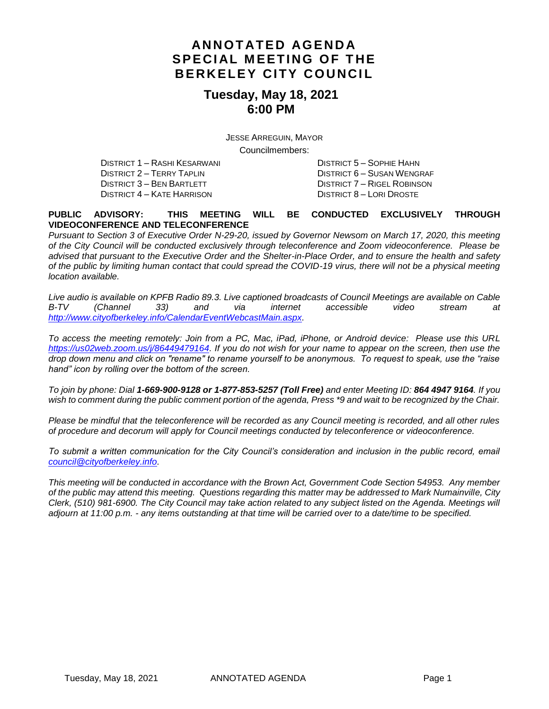## **AN N O T AT E D AG E N D A S PE CI AL M EET I NG O F T HE BERKELEY CITY COUNCIL**

#### **Tuesday, May 18, 2021 6:00 PM**

JESSE ARREGUIN, MAYOR

Councilmembers:

DISTRICT 1 – RASHI KESARWANI DISTRICT 5 – SOPHIE HAHN DISTRICT 2 – TERRY TAPLIN DISTRICT 6 – SUSAN WENGRAF DISTRICT 4 – KATE HARRISON DISTRICT 8 – LORI DROSTE

DISTRICT 7 – RIGEL ROBINSON

#### **PUBLIC ADVISORY: THIS MEETING WILL BE CONDUCTED EXCLUSIVELY THROUGH VIDEOCONFERENCE AND TELECONFERENCE**

*Pursuant to Section 3 of Executive Order N-29-20, issued by Governor Newsom on March 17, 2020, this meeting of the City Council will be conducted exclusively through teleconference and Zoom videoconference. Please be advised that pursuant to the Executive Order and the Shelter-in-Place Order, and to ensure the health and safety of the public by limiting human contact that could spread the COVID-19 virus, there will not be a physical meeting location available.* 

*Live audio is available on KPFB Radio 89.3. Live captioned broadcasts of Council Meetings are available on Cable B-TV (Channel 33) and via internet accessible video stream at [http://www.cityofberkeley.info/CalendarEventWebcastMain.aspx.](http://www.cityofberkeley.info/CalendarEventWebcastMain.aspx)*

*To access the meeting remotely: Join from a PC, Mac, iPad, iPhone, or Android device: Please use this URL [https://us02web.zoom.us/j/86449479164.](https://us02web.zoom.us/j/86449479164) If you do not wish for your name to appear on the screen, then use the drop down menu and click on "rename" to rename yourself to be anonymous. To request to speak, use the "raise hand" icon by rolling over the bottom of the screen.* 

*To join by phone: Dial 1-669-900-9128 or 1-877-853-5257 (Toll Free) and enter Meeting ID: 864 4947 9164. If you*  wish to comment during the public comment portion of the agenda, Press \*9 and wait to be recognized by the Chair.

*Please be mindful that the teleconference will be recorded as any Council meeting is recorded, and all other rules of procedure and decorum will apply for Council meetings conducted by teleconference or videoconference.*

*To submit a written communication for the City Council's consideration and inclusion in the public record, email [council@cityofberkeley.info.](mailto:council@cityofberkeley.info)*

*This meeting will be conducted in accordance with the Brown Act, Government Code Section 54953. Any member of the public may attend this meeting. Questions regarding this matter may be addressed to Mark Numainville, City Clerk, (510) 981-6900. The City Council may take action related to any subject listed on the Agenda. Meetings will adjourn at 11:00 p.m. - any items outstanding at that time will be carried over to a date/time to be specified.*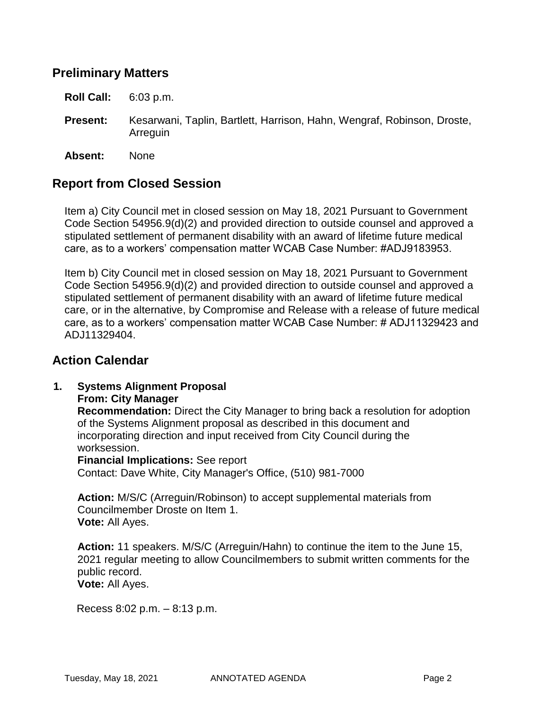### **Preliminary Matters**

**Roll Call:** 6:03 p.m.

**Present:** Kesarwani, Taplin, Bartlett, Harrison, Hahn, Wengraf, Robinson, Droste, Arreguin

**Absent:** None

### **Report from Closed Session**

Item a) City Council met in closed session on May 18, 2021 Pursuant to Government Code Section 54956.9(d)(2) and provided direction to outside counsel and approved a stipulated settlement of permanent disability with an award of lifetime future medical care, as to a workers' compensation matter WCAB Case Number: #ADJ9183953.

Item b) City Council met in closed session on May 18, 2021 Pursuant to Government Code Section 54956.9(d)(2) and provided direction to outside counsel and approved a stipulated settlement of permanent disability with an award of lifetime future medical care, or in the alternative, by Compromise and Release with a release of future medical care, as to a workers' compensation matter WCAB Case Number: # ADJ11329423 and ADJ11329404.

### **Action Calendar**

# **1. Systems Alignment Proposal**

**From: City Manager**

**Recommendation:** Direct the City Manager to bring back a resolution for adoption of the Systems Alignment proposal as described in this document and incorporating direction and input received from City Council during the worksession.

**Financial Implications:** See report Contact: Dave White, City Manager's Office, (510) 981-7000

**Action:** M/S/C (Arreguin/Robinson) to accept supplemental materials from Councilmember Droste on Item 1. **Vote:** All Ayes.

**Action:** 11 speakers. M/S/C (Arreguin/Hahn) to continue the item to the June 15, 2021 regular meeting to allow Councilmembers to submit written comments for the public record. **Vote:** All Ayes.

Recess 8:02 p.m. – 8:13 p.m.